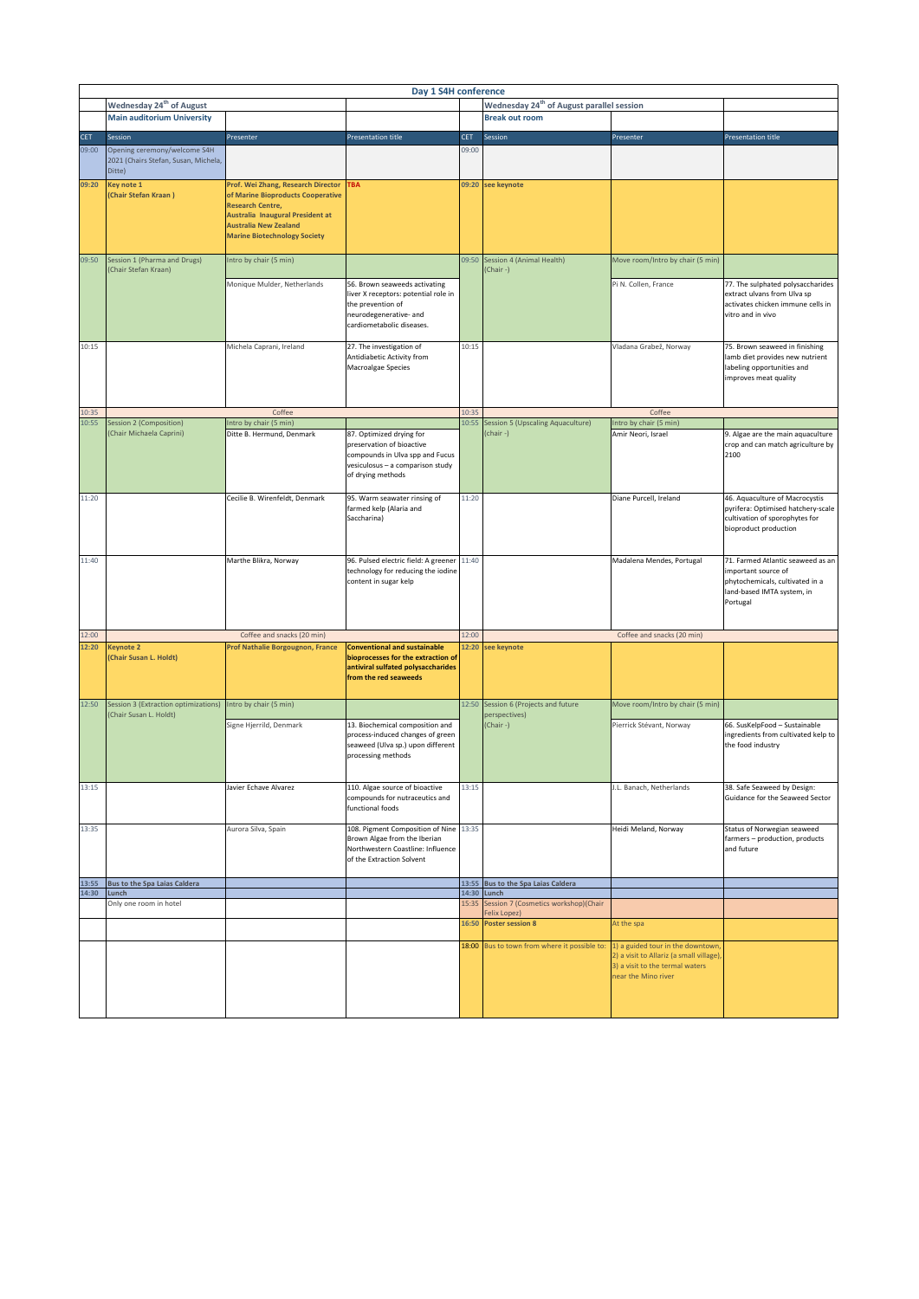|                | Day 1 S4H conference                                                           |                                                                    |                                                                     |            |                                                       |                                          |                                                                      |  |  |  |  |  |
|----------------|--------------------------------------------------------------------------------|--------------------------------------------------------------------|---------------------------------------------------------------------|------------|-------------------------------------------------------|------------------------------------------|----------------------------------------------------------------------|--|--|--|--|--|
|                | Wednesday 24 <sup>th</sup> of August                                           |                                                                    |                                                                     |            | Wednesday 24 <sup>th</sup> of August parallel session |                                          |                                                                      |  |  |  |  |  |
|                | <b>Main auditorium University</b>                                              |                                                                    |                                                                     |            | <b>Break out room</b>                                 |                                          |                                                                      |  |  |  |  |  |
|                |                                                                                |                                                                    |                                                                     |            |                                                       |                                          |                                                                      |  |  |  |  |  |
| <b>CET</b>     | Session                                                                        | Presenter                                                          | <b>Presentation title</b>                                           | <b>CET</b> | Session                                               | Presenter                                | <b>Presentation title</b>                                            |  |  |  |  |  |
| 09:00          | Opening ceremony/welcome S4H<br>2021 (Chairs Stefan, Susan, Michela,<br>Ditte) |                                                                    |                                                                     | 09:00      |                                                       |                                          |                                                                      |  |  |  |  |  |
| 09:20          | Key note 1                                                                     | Prof. Wei Zhang, Research Director                                 | <b>TBA</b>                                                          |            | 09:20 see keynote                                     |                                          |                                                                      |  |  |  |  |  |
|                | (Chair Stefan Kraan)                                                           | of Marine Bioproducts Cooperative                                  |                                                                     |            |                                                       |                                          |                                                                      |  |  |  |  |  |
|                |                                                                                | <b>Research Centre,</b><br><b>Australia Inaugural President at</b> |                                                                     |            |                                                       |                                          |                                                                      |  |  |  |  |  |
|                |                                                                                | <b>Australia New Zealand</b>                                       |                                                                     |            |                                                       |                                          |                                                                      |  |  |  |  |  |
|                |                                                                                | <b>Marine Biotechnology Society</b>                                |                                                                     |            |                                                       |                                          |                                                                      |  |  |  |  |  |
|                |                                                                                |                                                                    |                                                                     |            |                                                       |                                          |                                                                      |  |  |  |  |  |
| 09:50          | Session 1 (Pharma and Drugs)<br>(Chair Stefan Kraan)                           | Intro by chair (5 min)                                             |                                                                     |            | 09:50 Session 4 (Animal Health)<br>(Chair-)           | Move room/Intro by chair (5 min)         |                                                                      |  |  |  |  |  |
|                |                                                                                | Monique Mulder, Netherlands                                        | 56. Brown seaweeds activating                                       |            |                                                       | Pi N. Collen, France                     | 77. The sulphated polysaccharides                                    |  |  |  |  |  |
|                |                                                                                |                                                                    | liver X receptors: potential role in                                |            |                                                       |                                          | extract ulvans from Ulva sp                                          |  |  |  |  |  |
|                |                                                                                |                                                                    | the prevention of<br>neurodegenerative- and                         |            |                                                       |                                          | activates chicken immune cells in<br>vitro and in vivo               |  |  |  |  |  |
|                |                                                                                |                                                                    | cardiometabolic diseases.                                           |            |                                                       |                                          |                                                                      |  |  |  |  |  |
|                |                                                                                |                                                                    |                                                                     |            |                                                       |                                          |                                                                      |  |  |  |  |  |
| 10:15          |                                                                                | Michela Caprani, Ireland                                           | 27. The investigation of                                            | 10:15      |                                                       | Vladana Grabež, Norway                   | 75. Brown seaweed in finishing                                       |  |  |  |  |  |
|                |                                                                                |                                                                    | Antidiabetic Activity from                                          |            |                                                       |                                          | lamb diet provides new nutrient                                      |  |  |  |  |  |
|                |                                                                                |                                                                    | Macroalgae Species                                                  |            |                                                       |                                          | labeling opportunities and                                           |  |  |  |  |  |
|                |                                                                                |                                                                    |                                                                     |            |                                                       |                                          | improves meat quality                                                |  |  |  |  |  |
|                |                                                                                |                                                                    |                                                                     |            |                                                       |                                          |                                                                      |  |  |  |  |  |
|                |                                                                                |                                                                    |                                                                     |            |                                                       |                                          |                                                                      |  |  |  |  |  |
| 10:35<br>10:55 | Session 2 (Composition)                                                        | Coffee<br>Intro by chair (5 min)                                   |                                                                     | 10:35      | 10:55 Session 5 (Upscaling Aquaculture)               | Coffee<br>Intro by chair (5 min)         |                                                                      |  |  |  |  |  |
|                | (Chair Michaela Caprini)                                                       | Ditte B. Hermund, Denmark                                          | 87. Optimized drying for                                            |            | (chair-)                                              | Amir Neori, Israel                       | 9. Algae are the main aquaculture                                    |  |  |  |  |  |
|                |                                                                                |                                                                    | preservation of bioactive                                           |            |                                                       |                                          | crop and can match agriculture by                                    |  |  |  |  |  |
|                |                                                                                |                                                                    | compounds in Ulva spp and Fucus                                     |            |                                                       |                                          | 2100                                                                 |  |  |  |  |  |
|                |                                                                                |                                                                    | vesiculosus - a comparison study                                    |            |                                                       |                                          |                                                                      |  |  |  |  |  |
|                |                                                                                |                                                                    | of drying methods                                                   |            |                                                       |                                          |                                                                      |  |  |  |  |  |
|                |                                                                                |                                                                    |                                                                     |            |                                                       |                                          |                                                                      |  |  |  |  |  |
| 11:20          |                                                                                | Cecilie B. Wirenfeldt, Denmark                                     | 95. Warm seawater rinsing of                                        | 11:20      |                                                       | Diane Purcell, Ireland                   | 46. Aquaculture of Macrocystis                                       |  |  |  |  |  |
|                |                                                                                |                                                                    | farmed kelp (Alaria and<br>Saccharina)                              |            |                                                       |                                          | pyrifera: Optimised hatchery-scale<br>cultivation of sporophytes for |  |  |  |  |  |
|                |                                                                                |                                                                    |                                                                     |            |                                                       |                                          | bioproduct production                                                |  |  |  |  |  |
|                |                                                                                |                                                                    |                                                                     |            |                                                       |                                          |                                                                      |  |  |  |  |  |
|                |                                                                                |                                                                    |                                                                     |            |                                                       |                                          |                                                                      |  |  |  |  |  |
| 11:40          |                                                                                | Marthe Blikra, Norway                                              | 96. Pulsed electric field: A greener 11:40                          |            |                                                       | Madalena Mendes, Portugal                | 71. Farmed Atlantic seaweed as an                                    |  |  |  |  |  |
|                |                                                                                |                                                                    | technology for reducing the iodine                                  |            |                                                       |                                          | important source of                                                  |  |  |  |  |  |
|                |                                                                                |                                                                    | content in sugar kelp                                               |            |                                                       |                                          | phytochemicals, cultivated in a                                      |  |  |  |  |  |
|                |                                                                                |                                                                    |                                                                     |            |                                                       |                                          | land-based IMTA system, in<br>Portugal                               |  |  |  |  |  |
|                |                                                                                |                                                                    |                                                                     |            |                                                       |                                          |                                                                      |  |  |  |  |  |
|                |                                                                                |                                                                    |                                                                     |            |                                                       |                                          |                                                                      |  |  |  |  |  |
| 12:00          |                                                                                | Coffee and snacks (20 min)                                         |                                                                     | 12:00      |                                                       | Coffee and snacks (20 min)               |                                                                      |  |  |  |  |  |
| 12:20          | <b>Keynote 2</b>                                                               | Prof Nathalie Borgougnon, France                                   | <b>Conventional and sustainable</b>                                 |            | 12:20 see keynote                                     |                                          |                                                                      |  |  |  |  |  |
|                | (Chair Susan L. Holdt)                                                         |                                                                    | bioprocesses for the extraction of                                  |            |                                                       |                                          |                                                                      |  |  |  |  |  |
|                |                                                                                |                                                                    | antiviral sulfated polysaccharides                                  |            |                                                       |                                          |                                                                      |  |  |  |  |  |
|                |                                                                                |                                                                    | from the red seaweeds                                               |            |                                                       |                                          |                                                                      |  |  |  |  |  |
|                |                                                                                |                                                                    |                                                                     |            |                                                       |                                          |                                                                      |  |  |  |  |  |
| 12:50          | Session 3 (Extraction optimizations)<br>(Chair Susan L. Holdt)                 | Intro by chair (5 min)                                             |                                                                     |            | 12:50 Session 6 (Projects and future<br>perspectives) | Move room/Intro by chair (5 min)         |                                                                      |  |  |  |  |  |
|                |                                                                                | Signe Hjerrild, Denmark                                            | 13. Biochemical composition and<br>process-induced changes of green |            | (Chair-)                                              | Pierrick Stévant, Norway                 | 66. SusKelpFood - Sustainable<br>ingredients from cultivated kelp to |  |  |  |  |  |
|                |                                                                                |                                                                    | seaweed (Ulva sp.) upon different                                   |            |                                                       |                                          | the food industry                                                    |  |  |  |  |  |
|                |                                                                                |                                                                    | processing methods                                                  |            |                                                       |                                          |                                                                      |  |  |  |  |  |
|                |                                                                                |                                                                    |                                                                     |            |                                                       |                                          |                                                                      |  |  |  |  |  |
|                |                                                                                |                                                                    |                                                                     |            |                                                       |                                          |                                                                      |  |  |  |  |  |
| 13:15          |                                                                                | Javier Echave Alvarez                                              | 110. Algae source of bioactive                                      | 13:15      |                                                       | J.L. Banach, Netherlands                 | 38. Safe Seaweed by Design:                                          |  |  |  |  |  |
|                |                                                                                |                                                                    | compounds for nutraceutics and                                      |            |                                                       |                                          | Guidance for the Seaweed Sector                                      |  |  |  |  |  |
|                |                                                                                |                                                                    | functional foods                                                    |            |                                                       |                                          |                                                                      |  |  |  |  |  |
| 13:35          |                                                                                | Aurora Silva, Spain                                                | 108. Pigment Composition of Nine 13:35                              |            |                                                       | Heidi Meland, Norway                     | Status of Norwegian seaweed                                          |  |  |  |  |  |
|                |                                                                                |                                                                    | Brown Algae from the Iberian                                        |            |                                                       |                                          | farmers - production, products                                       |  |  |  |  |  |
|                |                                                                                |                                                                    | Northwestern Coastline: Influence                                   |            |                                                       |                                          | and future                                                           |  |  |  |  |  |
|                |                                                                                |                                                                    | of the Extraction Solvent                                           |            |                                                       |                                          |                                                                      |  |  |  |  |  |
|                |                                                                                |                                                                    |                                                                     |            |                                                       |                                          |                                                                      |  |  |  |  |  |
| 13:55<br>14:30 | <b>Bus to the Spa Laias Caldera</b><br>Lunch                                   |                                                                    |                                                                     |            | 13:55 Bus to the Spa Laias Caldera<br>14:30 Lunch     |                                          |                                                                      |  |  |  |  |  |
|                | Only one room in hotel                                                         |                                                                    |                                                                     | 15:35      | Session 7 (Cosmetics workshop)(Chair                  |                                          |                                                                      |  |  |  |  |  |
|                |                                                                                |                                                                    |                                                                     |            | Felix Lopez)                                          |                                          |                                                                      |  |  |  |  |  |
|                |                                                                                |                                                                    |                                                                     | 16:50      | <b>Poster session 8</b>                               | At the spa                               |                                                                      |  |  |  |  |  |
|                |                                                                                |                                                                    |                                                                     |            | 18:00 Bus to town from where it possible to:          | 1) a guided tour in the downtown         |                                                                      |  |  |  |  |  |
|                |                                                                                |                                                                    |                                                                     |            |                                                       | 2) a visit to Allariz (a small village), |                                                                      |  |  |  |  |  |
|                |                                                                                |                                                                    |                                                                     |            |                                                       | 3) a visit to the termal waters          |                                                                      |  |  |  |  |  |
|                |                                                                                |                                                                    |                                                                     |            |                                                       | near the Mino river                      |                                                                      |  |  |  |  |  |
|                |                                                                                |                                                                    |                                                                     |            |                                                       |                                          |                                                                      |  |  |  |  |  |
|                |                                                                                |                                                                    |                                                                     |            |                                                       |                                          |                                                                      |  |  |  |  |  |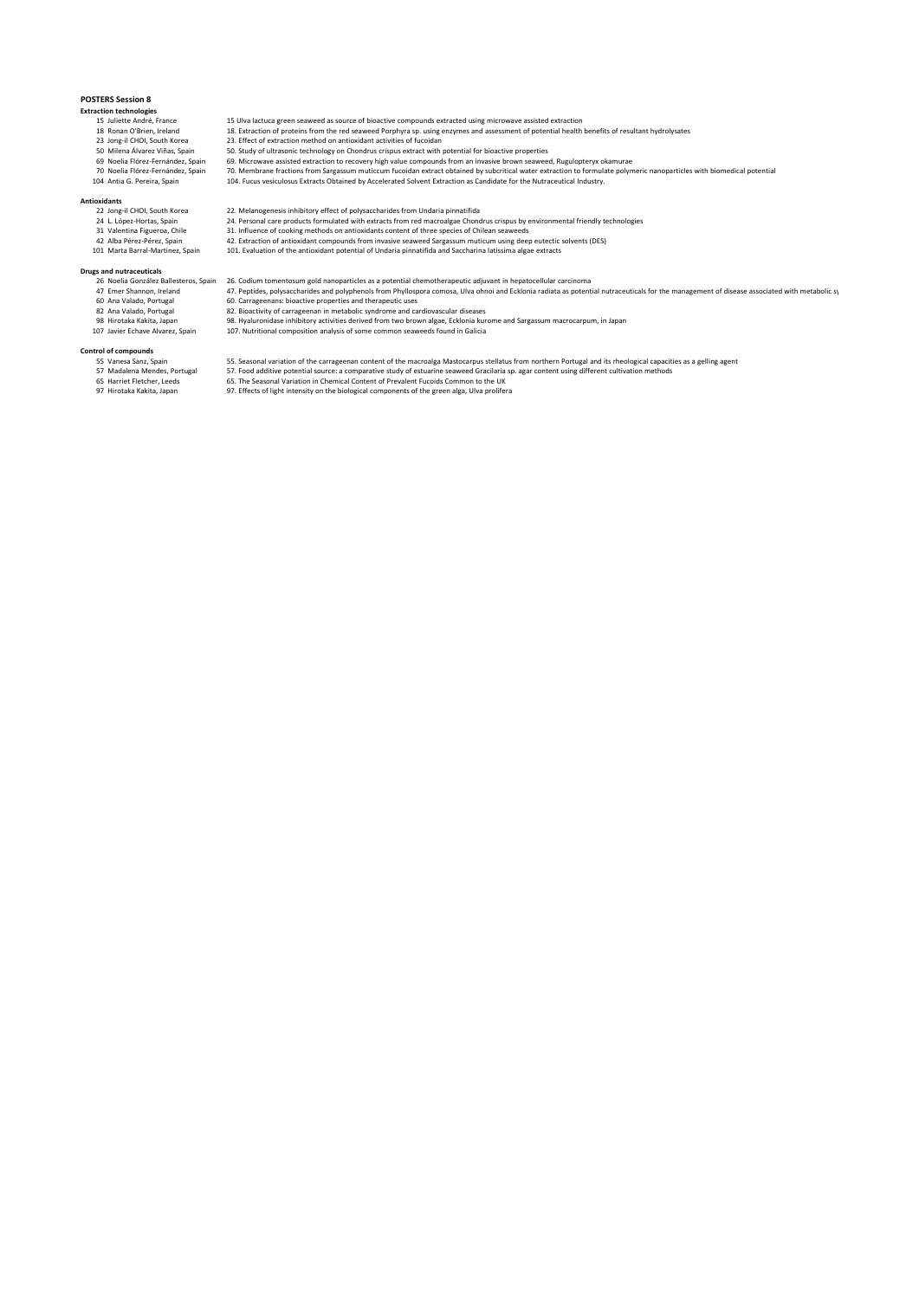## **POSTERS Session 8**

# **Extraction technologies**

- 
- 
- 
- 
- 

- 
- Antioxidants<br>
22 Jong-il CHOI, South Korea<br>
24 L. López-Hortas, Spain<br>
31 Valentina Figueroa, Chile
	-
	-

- 
- 
- 

- 
- 
- 15 Juliette André, France 15 Ulva lactuca green seaweed as source of bioactive compounds extracted using microwave assisted extraction<br>18 Juliette André, France 18 Letraction of proteins from the red seaweed Porphyra sp. u
- 18 Ronan O'Brien, Ireland 18. Extraction of proteins from the red seaweed Porphyra sp. using enzymes and assessment of potential health benefits of resultant hydrolysates<br>23 Jong-il CHOI, South Korea 23. Effect of extracti
- 23 Jong-il CHOI, South Korea 23. Effect of extraction method on antioxidant activities of fucoidan<br>25 Milena Álvarez Viñas, Spain 50. Study of ultrasonic technology on Chondrus crispus extract with
- 50 Milena Álvarez Viñas, Spain 50. Study of ultrasonic technology on Chondrus crispus extract with potential for bioactive properties
- 69 Noelia Flórez-Fernández, Spain 69. Microwave assisted extraction to recovery high value compounds from an invasive brown seaweed, Rugulopteryx okamurae<br>70 Noelia Flórez-Fernández, Spain 70. Membrane f
- 104 Antia G. Pereira, Spain 104. Fucus vesiculosus Extracts Obtained by Accelerated Solvent Extraction as Candidate for the Nutraceutical Industry.
	-
- 22 Jong-il CHOI, South Korea 22. Melanogenesis inhibitory effect of polysaccharides from Undaria pinnatifida 24 L. López-Hortas, Spain 24. Personal care products formulated with extracts from red macroalgae Chondrus crispus by environmental friendly technologies 31 Valentina Figueroa, Chile 31. Influence of cooking methods on antioxidants content of three species of Chilean seaweeds
	-
	-
- 42 Alba Pérez-Pérez, Spain 42. Extraction of antioxidant compounds from invasive seaweed Sargassum muticum using deep eutectic solvents (DES)<br>101 Marta Barral-Martinez, Spain 1
- **Drugs and nutraceuticals** 26 Noelia González Ballesteros, Spain 26. Codium tomentosum gold nanoparticles as a potential chemotherapeutic adjuvant in hepatocellular carcinoma
	- 47 Emer Shannon, Ireland 47. Peptides, polysaccharides and polyphenols from Phyllospora comosa, Ulva ohnoi and Ecklonia radiata as potential nutraceuticals for the management of disease associated with metabolic sy<br>60 Ana
		-
	- 60 Ana Valado, Portugal 60. Carrageenans: bioactive properties and therapeutic uses 82 Ana Valado, Portugal 82. Bioactivity of carrageenan in metabolic syndrome and cardiovascular diseases 98 Hirotaka Kakita, Japan 98. Hyaluronidase inhibitory activities derived from two brown algae, Ecklonia kurome and Sargassum macrocarpum, in Japan
	- 107 Javier Echave Alvarez, Spain 107. Nutritional composition analysis of some common seaweeds found in Galicia
- **Control of compounds**
	- on Sannes Sanz, Spain 55. Seasonal variation of the carrageenan content of the macroalga Mastocarpus stellatus from northern Portugal and its rheological capacities as a gelling agent<br>57 Madalena Mendes, Portugal 57. Food 57. Madalena Mendes, Portugal 57. Food additive potential source: a comparative study of estuarine seaweed Gracilaria sp. agar content using different cultivation methods<br>65. Harriek Flecher, Leeds
		-